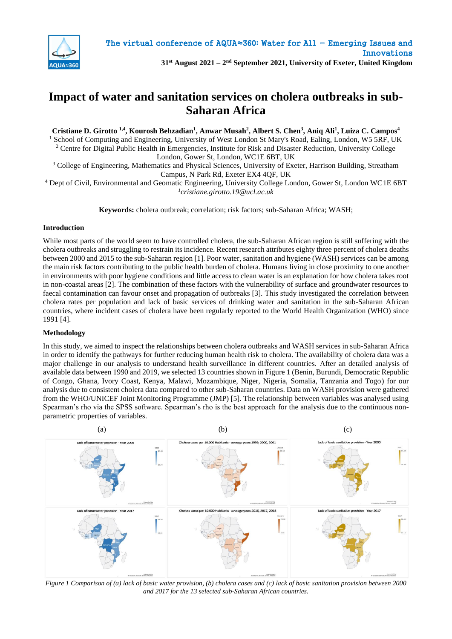

### **31st August 2021 – 2 nd September 2021, University of Exeter, United Kingdom**

# **Impact of water and sanitation services on cholera outbreaks in sub-Saharan Africa**

**Cristiane D. Girotto 1,4, Kourosh Behzadian<sup>1</sup> , Anwar Musah<sup>2</sup> , Albert S. Chen<sup>3</sup> , Aniq Ali<sup>1</sup> , Luiza C. Campos<sup>4</sup>**

<sup>1</sup> School of Computing and Engineering, University of West London St Mary's Road, Ealing, London, W5 5RF, UK <sup>2</sup> Centre for Digital Public Health in Emergencies, Institute for Risk and Disaster Reduction, University College

London, Gower St, London, WC1E 6BT, UK <sup>3</sup> College of Engineering, Mathematics and Physical Sciences, University of Exeter, Harrison Building, Streatham

Campus, N Park Rd, Exeter EX4 4QF, UK

<sup>4</sup> Dept of Civil, Environmental and Geomatic Engineering, University College London, Gower St, London WC1E 6BT *1 cristiane.girotto.19@ucl.ac.uk*

**Keywords:** cholera outbreak; correlation; risk factors; sub-Saharan Africa; WASH;

### **Introduction**

While most parts of the world seem to have controlled cholera, the sub-Saharan African region is still suffering with the cholera outbreaks and struggling to restrain its incidence. Recent research attributes eighty three percent of cholera deaths between 2000 and 2015 to the sub-Saharan region [1]. Poor water, sanitation and hygiene (WASH) services can be among the main risk factors contributing to the public health burden of cholera. Humans living in close proximity to one another in environments with poor hygiene conditions and little access to clean water is an explanation for how cholera takes root in non-coastal areas [2]. The combination of these factors with the vulnerability of surface and groundwater resources to faecal contamination can favour onset and propagation of outbreaks [3]. This study investigated the correlation between cholera rates per population and lack of basic services of drinking water and sanitation in the sub-Saharan African countries, where incident cases of cholera have been regularly reported to the World Health Organization (WHO) since 1991 [4].

### **Methodology**

In this study, we aimed to inspect the relationships between cholera outbreaks and WASH services in sub-Saharan Africa in order to identify the pathways for further reducing human health risk to cholera. The availability of cholera data was a major challenge in our analysis to understand health surveillance in different countries. After an detailed analysis of available data between 1990 and 2019, we selected 13 countries shown in Figure 1 (Benin, Burundi, Democratic Republic of Congo, Ghana, Ivory Coast, Kenya, Malawi, Mozambique, Niger, Nigeria, Somalia, Tanzania and Togo) for our analysis due to consistent cholera data compared to other sub-Saharan countries. Data on WASH provision were gathered from the WHO/UNICEF Joint Monitoring Programme (JMP) [5]. The relationship between variables was analysed using Spearman's rho via the SPSS software. Spearman's rho is the best approach for the analysis due to the continuous nonparametric properties of variables.



*Figure 1 Comparison of (a) lack of basic water provision, (b) cholera cases and (c) lack of basic sanitation provision between 2000 and 2017 for the 13 selected sub-Saharan African countries.*